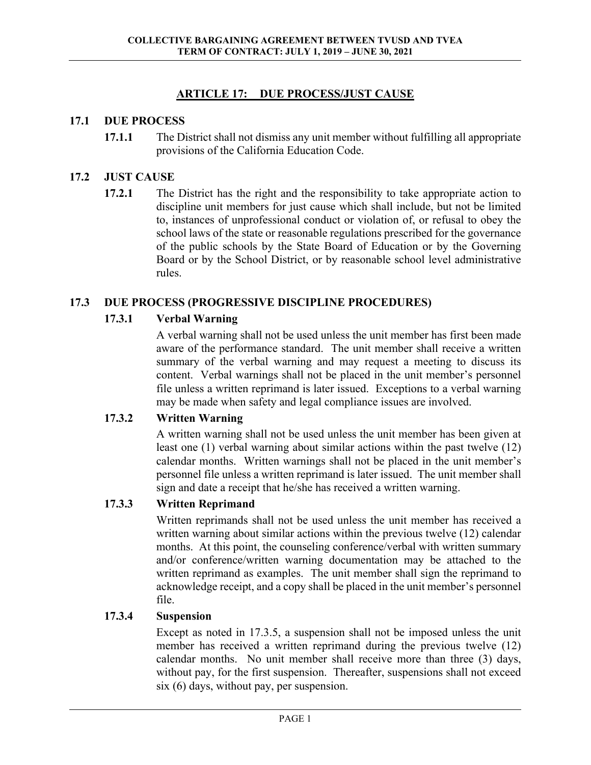# **ARTICLE 17: DUE PROCESS/JUST CAUSE**

#### **17.1 DUE PROCESS**

**17.1.1** The District shall not dismiss any unit member without fulfilling all appropriate provisions of the California Education Code.

### **17.2 JUST CAUSE**

**17.2.1** The District has the right and the responsibility to take appropriate action to discipline unit members for just cause which shall include, but not be limited to, instances of unprofessional conduct or violation of, or refusal to obey the school laws of the state or reasonable regulations prescribed for the governance of the public schools by the State Board of Education or by the Governing Board or by the School District, or by reasonable school level administrative rules.

### **17.3 DUE PROCESS (PROGRESSIVE DISCIPLINE PROCEDURES)**

### **17.3.1 Verbal Warning**

A verbal warning shall not be used unless the unit member has first been made aware of the performance standard. The unit member shall receive a written summary of the verbal warning and may request a meeting to discuss its content. Verbal warnings shall not be placed in the unit member's personnel file unless a written reprimand is later issued. Exceptions to a verbal warning may be made when safety and legal compliance issues are involved.

#### **17.3.2 Written Warning**

 A written warning shall not be used unless the unit member has been given at least one (1) verbal warning about similar actions within the past twelve (12) calendar months. Written warnings shall not be placed in the unit member's personnel file unless a written reprimand is later issued. The unit member shall sign and date a receipt that he/she has received a written warning.

# **17.3.3 Written Reprimand**

 Written reprimands shall not be used unless the unit member has received a written warning about similar actions within the previous twelve (12) calendar months. At this point, the counseling conference/verbal with written summary and/or conference/written warning documentation may be attached to the written reprimand as examples. The unit member shall sign the reprimand to acknowledge receipt, and a copy shall be placed in the unit member's personnel file.

#### **17.3.4 Suspension**

 Except as noted in 17.3.5, a suspension shall not be imposed unless the unit member has received a written reprimand during the previous twelve (12) calendar months. No unit member shall receive more than three (3) days, without pay, for the first suspension. Thereafter, suspensions shall not exceed six (6) days, without pay, per suspension.